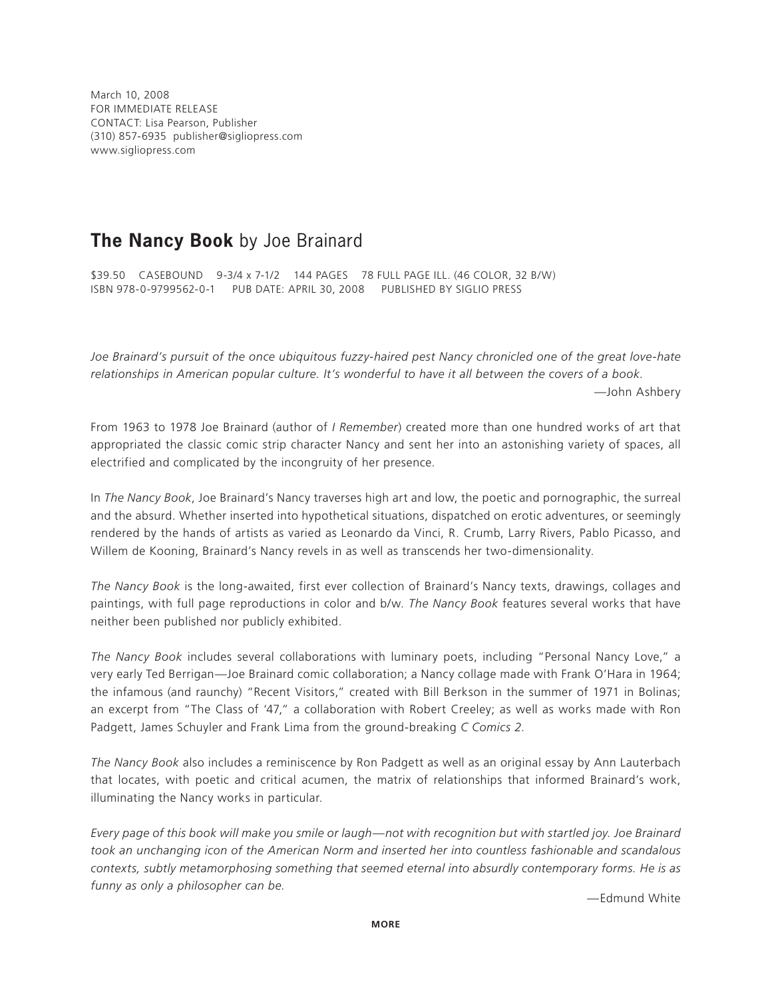March 10, 2008 FOR IMMEDIATE RELEASE CONTACT: Lisa Pearson, Publisher (310) 857-6935 publisher@sigliopress.com www.sigliopress.com

## **The Nancy Book** by Joe Brainard

\$39.50 CASEBOUND 9-3/4 x 7-1/2 144 PAGES 78 FULL PAGE ILL. (46 COLOR, 32 B/W) ISBN 978-0-9799562-0-1 PUB DATE: APRIL 30, 2008 PUBLISHED BY SIGLIO PRESS

Joe Brainard's pursuit of the once ubiquitous fuzzy-haired pest Nancy chronicled one of the great love-hate *relationships in American popular culture. It's wonderful to have it all between the covers of a book.* —John Ashbery

From 1963 to 1978 Joe Brainard (author of *I Remember*) created more than one hundred works of art that appropriated the classic comic strip character Nancy and sent her into an astonishing variety of spaces, all electrified and complicated by the incongruity of her presence.

In *The Nancy Book*, Joe Brainard's Nancy traverses high art and low, the poetic and pornographic, the surreal and the absurd. Whether inserted into hypothetical situations, dispatched on erotic adventures, or seemingly rendered by the hands of artists as varied as Leonardo da Vinci, R. Crumb, Larry Rivers, Pablo Picasso, and Willem de Kooning, Brainard's Nancy revels in as well as transcends her two-dimensionality.

*The Nancy Book* is the long-awaited, first ever collection of Brainard's Nancy texts, drawings, collages and paintings, with full page reproductions in color and b/w. *The Nancy Book* features several works that have neither been published nor publicly exhibited.

*The Nancy Book* includes several collaborations with luminary poets, including "Personal Nancy Love," a very early Ted Berrigan—Joe Brainard comic collaboration; a Nancy collage made with Frank O'Hara in 1964; the infamous (and raunchy) "Recent Visitors," created with Bill Berkson in the summer of 1971 in Bolinas; an excerpt from "The Class of '47," a collaboration with Robert Creeley; as well as works made with Ron Padgett, James Schuyler and Frank Lima from the ground-breaking *C Comics 2*.

*The Nancy Book* also includes a reminiscence by Ron Padgett as well as an original essay by Ann Lauterbach that locates, with poetic and critical acumen, the matrix of relationships that informed Brainard's work, illuminating the Nancy works in particular.

*Every page of this book will make you smile or laugh—not with recognition but with startled joy. Joe Brainard took an unchanging icon of the American Norm and inserted her into countless fashionable and scandalous contexts, subtly metamorphosing something that seemed eternal into absurdly contemporary forms. He is as funny as only a philosopher can be.*

—Edmund White